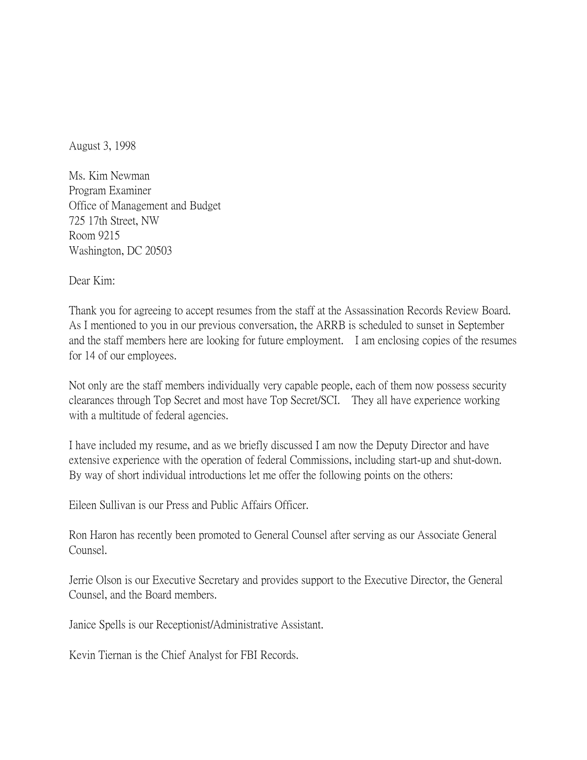August 3, 1998

Ms. Kim Newman Program Examiner Office of Management and Budget 725 17th Street, NW Room 9215 Washington, DC 20503

Dear Kim:

Thank you for agreeing to accept resumes from the staff at the Assassination Records Review Board. As I mentioned to you in our previous conversation, the ARRB is scheduled to sunset in September and the staff members here are looking for future employment. I am enclosing copies of the resumes for 14 of our employees.

Not only are the staff members individually very capable people, each of them now possess security clearances through Top Secret and most have Top Secret/SCI. They all have experience working with a multitude of federal agencies.

I have included my resume, and as we briefly discussed I am now the Deputy Director and have extensive experience with the operation of federal Commissions, including start-up and shut-down. By way of short individual introductions let me offer the following points on the others:

Eileen Sullivan is our Press and Public Affairs Officer.

Ron Haron has recently been promoted to General Counsel after serving as our Associate General Counsel.

Jerrie Olson is our Executive Secretary and provides support to the Executive Director, the General Counsel, and the Board members.

Janice Spells is our Receptionist/Administrative Assistant.

Kevin Tiernan is the Chief Analyst for FBI Records.